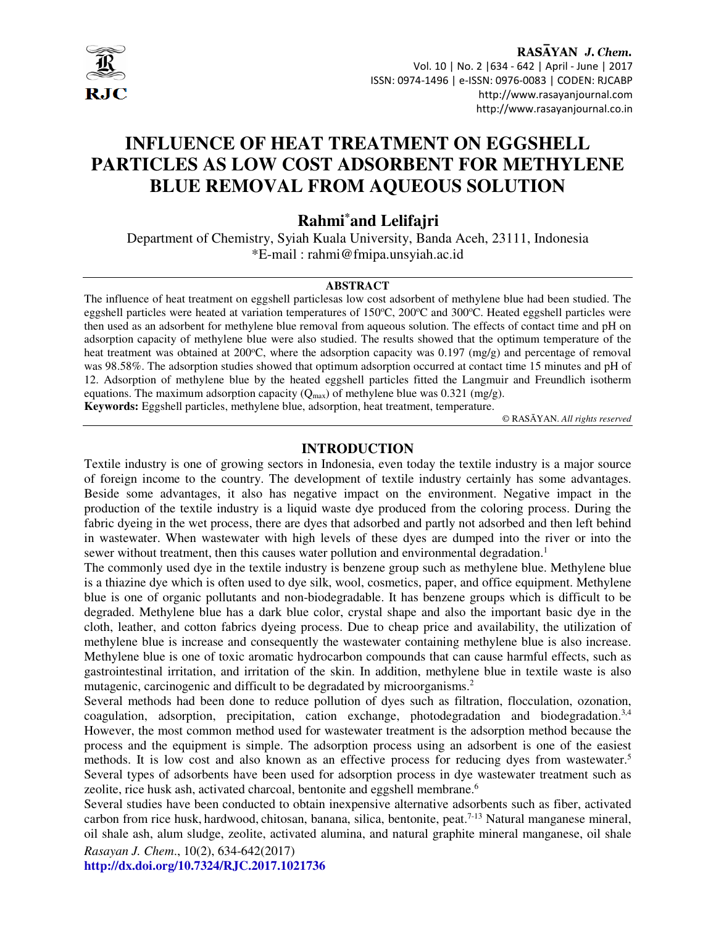

#### RASAYAN J. Chem. Vol. 10 | No. 2 |634 - 642 | April - June | 2017 ISSN: 0974-1496 | e-ISSN: 0976-0083 | CODEN: RJCABP http://www.rasayanjournal.com http://www.rasayanjournal.co.in

# **INFLUENCE OF HEAT TREATMENT ON EGGSHELL PARTICLES AS LOW COST ADSORBENT FOR METHYLENE BLUE REMOVAL FROM AQUEOUS SOLUTION**

## **Rahmi\*and Lelifajri**

Department of Chemistry, Syiah Kuala University, Banda Aceh, 23111, Indonesia \*E-mail : rahmi@fmipa.unsyiah.ac.id

#### **ABSTRACT**

The influence of heat treatment on eggshell particlesas low cost adsorbent of methylene blue had been studied. The eggshell particles were heated at variation temperatures of  $150^{\circ}$ C,  $200^{\circ}$ C and  $300^{\circ}$ C. Heated eggshell particles were then used as an adsorbent for methylene blue removal from aqueous solution. The effects of contact time and pH on adsorption capacity of methylene blue were also studied. The results showed that the optimum temperature of the heat treatment was obtained at 200 $^{\circ}$ C, where the adsorption capacity was 0.197 (mg/g) and percentage of removal was 98.58%. The adsorption studies showed that optimum adsorption occurred at contact time 15 minutes and pH of 12. Adsorption of methylene blue by the heated eggshell particles fitted the Langmuir and Freundlich isotherm equations. The maximum adsorption capacity  $(Q_{max})$  of methylene blue was 0.321 (mg/g).

**Keywords:** Eggshell particles, methylene blue, adsorption, heat treatment, temperature.

© RASĀYAN. *All rights reserved*

#### **INTRODUCTION**

Textile industry is one of growing sectors in Indonesia, even today the textile industry is a major source of foreign income to the country. The development of textile industry certainly has some advantages. Beside some advantages, it also has negative impact on the environment. Negative impact in the production of the textile industry is a liquid waste dye produced from the coloring process. During the fabric dyeing in the wet process, there are dyes that adsorbed and partly not adsorbed and then left behind in wastewater. When wastewater with high levels of these dyes are dumped into the river or into the sewer without treatment, then this causes water pollution and environmental degradation.<sup>1</sup>

The commonly used dye in the textile industry is benzene group such as methylene blue. Methylene blue is a thiazine dye which is often used to dye silk, wool, cosmetics, paper, and office equipment. Methylene blue is one of organic pollutants and non-biodegradable. It has benzene groups which is difficult to be degraded. Methylene blue has a dark blue color, crystal shape and also the important basic dye in the cloth, leather, and cotton fabrics dyeing process. Due to cheap price and availability, the utilization of methylene blue is increase and consequently the wastewater containing methylene blue is also increase. Methylene blue is one of toxic aromatic hydrocarbon compounds that can cause harmful effects, such as gastrointestinal irritation, and irritation of the skin. In addition, methylene blue in textile waste is also mutagenic, carcinogenic and difficult to be degradated by microorganisms.<sup>2</sup>

Several methods had been done to reduce pollution of dyes such as filtration, flocculation, ozonation, coagulation, adsorption, precipitation, cation exchange, photodegradation and biodegradation.<sup>3,4</sup> However, the most common method used for wastewater treatment is the adsorption method because the process and the equipment is simple. The adsorption process using an adsorbent is one of the easiest methods. It is low cost and also known as an effective process for reducing dyes from wastewater.<sup>5</sup> Several types of adsorbents have been used for adsorption process in dye wastewater treatment such as zeolite, rice husk ash, activated charcoal, bentonite and eggshell membrane.<sup>6</sup>

*Rasayan J. Chem*., 10(2), 634-642(2017) Several studies have been conducted to obtain inexpensive alternative adsorbents such as fiber, activated carbon from rice husk, hardwood, chitosan, banana, silica, bentonite, peat.<sup>7-13</sup> Natural manganese mineral, oil shale ash, alum sludge, zeolite, activated alumina, and natural graphite mineral manganese, oil shale

**http://dx.doi.org/10.7324/RJC.2017.1021736**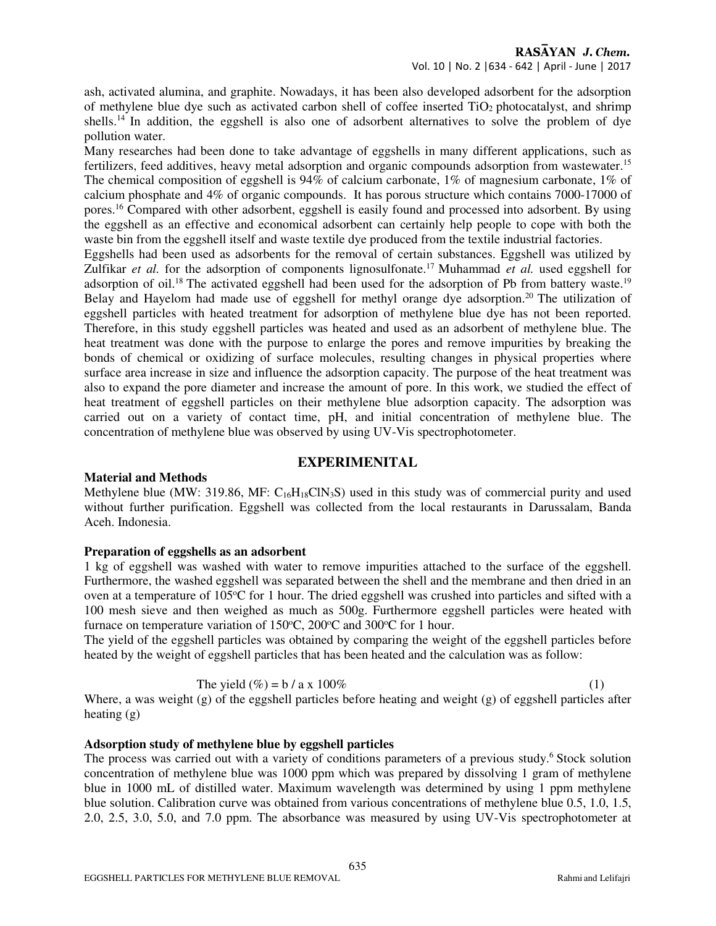ash, activated alumina, and graphite. Nowadays, it has been also developed adsorbent for the adsorption of methylene blue dye such as activated carbon shell of coffee inserted TiO2 photocatalyst, and shrimp shells.<sup>14</sup> In addition, the eggshell is also one of adsorbent alternatives to solve the problem of dye pollution water.

Many researches had been done to take advantage of eggshells in many different applications, such as fertilizers, feed additives, heavy metal adsorption and organic compounds adsorption from wastewater.<sup>15</sup> The chemical composition of eggshell is 94% of calcium carbonate, 1% of magnesium carbonate, 1% of calcium phosphate and 4% of organic compounds. It has porous structure which contains 7000-17000 of pores.<sup>16</sup> Compared with other adsorbent, eggshell is easily found and processed into adsorbent. By using the eggshell as an effective and economical adsorbent can certainly help people to cope with both the waste bin from the eggshell itself and waste textile dye produced from the textile industrial factories.

Eggshells had been used as adsorbents for the removal of certain substances. Eggshell was utilized by Zulfikar *et al.* for the adsorption of components lignosulfonate.<sup>17</sup> Muhammad *et al.* used eggshell for adsorption of oil.<sup>18</sup> The activated eggshell had been used for the adsorption of Pb from battery waste.<sup>19</sup> Belay and Hayelom had made use of eggshell for methyl orange dye adsorption.<sup>20</sup> The utilization of eggshell particles with heated treatment for adsorption of methylene blue dye has not been reported. Therefore, in this study eggshell particles was heated and used as an adsorbent of methylene blue. The heat treatment was done with the purpose to enlarge the pores and remove impurities by breaking the bonds of chemical or oxidizing of surface molecules, resulting changes in physical properties where surface area increase in size and influence the adsorption capacity. The purpose of the heat treatment was also to expand the pore diameter and increase the amount of pore. In this work, we studied the effect of heat treatment of eggshell particles on their methylene blue adsorption capacity. The adsorption was carried out on a variety of contact time, pH, and initial concentration of methylene blue. The concentration of methylene blue was observed by using UV-Vis spectrophotometer.

#### **EXPERIMENITAL**

#### **Material and Methods**

Methylene blue (MW: 319.86, MF: C<sub>16</sub>H<sub>18</sub>ClN<sub>3</sub>S) used in this study was of commercial purity and used without further purification. Eggshell was collected from the local restaurants in Darussalam, Banda Aceh. Indonesia.

#### **Preparation of eggshells as an adsorbent**

1 kg of eggshell was washed with water to remove impurities attached to the surface of the eggshell. Furthermore, the washed eggshell was separated between the shell and the membrane and then dried in an oven at a temperature of  $105^{\circ}C$  for 1 hour. The dried eggshell was crushed into particles and sifted with a 100 mesh sieve and then weighed as much as 500g. Furthermore eggshell particles were heated with furnace on temperature variation of  $150^{\circ}$ C,  $200^{\circ}$ C and  $300^{\circ}$ C for 1 hour.

The yield of the eggshell particles was obtained by comparing the weight of the eggshell particles before heated by the weight of eggshell particles that has been heated and the calculation was as follow:

The yield 
$$
(\%) = b / a \times 100\%
$$
 (1)

Where, a was weight (g) of the eggshell particles before heating and weight (g) of eggshell particles after heating (g)

## **Adsorption study of methylene blue by eggshell particles**

The process was carried out with a variety of conditions parameters of a previous study.<sup>6</sup> Stock solution concentration of methylene blue was 1000 ppm which was prepared by dissolving 1 gram of methylene blue in 1000 mL of distilled water. Maximum wavelength was determined by using 1 ppm methylene blue solution. Calibration curve was obtained from various concentrations of methylene blue 0.5, 1.0, 1.5, 2.0, 2.5, 3.0, 5.0, and 7.0 ppm. The absorbance was measured by using UV-Vis spectrophotometer at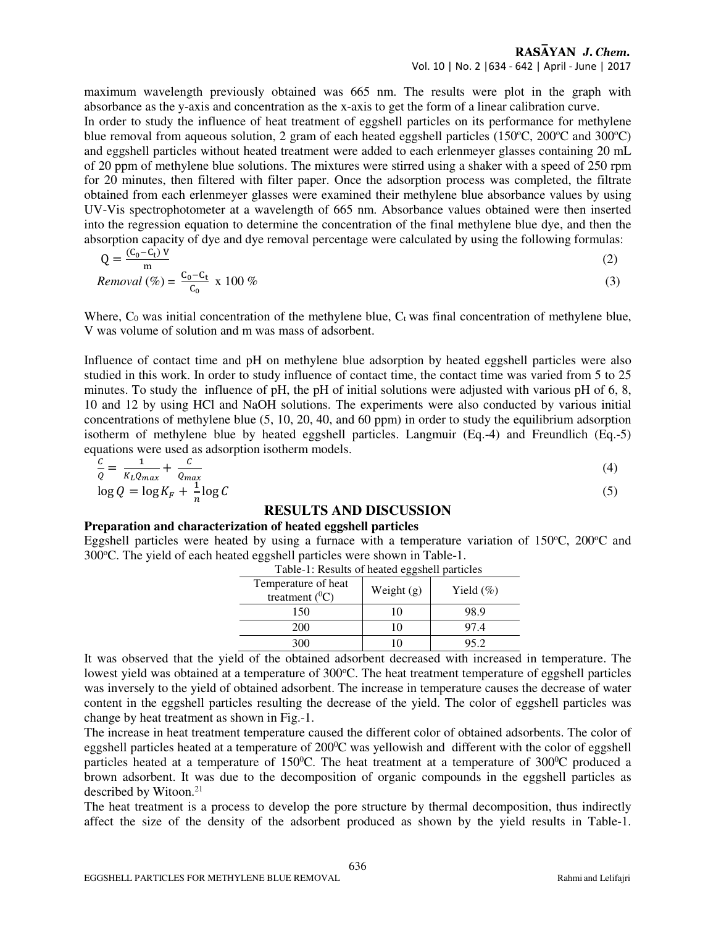#### RASAYAN J. Chem. Vol. 10 | No. 2 |634 - 642 | April - June | 2017

maximum wavelength previously obtained was 665 nm. The results were plot in the graph with absorbance as the y-axis and concentration as the x-axis to get the form of a linear calibration curve. In order to study the influence of heat treatment of eggshell particles on its performance for methylene

blue removal from aqueous solution, 2 gram of each heated eggshell particles (150 $\degree$ C, 200 $\degree$ C and 300 $\degree$ C) and eggshell particles without heated treatment were added to each erlenmeyer glasses containing 20 mL of 20 ppm of methylene blue solutions. The mixtures were stirred using a shaker with a speed of 250 rpm for 20 minutes, then filtered with filter paper. Once the adsorption process was completed, the filtrate obtained from each erlenmeyer glasses were examined their methylene blue absorbance values by using UV-Vis spectrophotometer at a wavelength of 665 nm. Absorbance values obtained were then inserted into the regression equation to determine the concentration of the final methylene blue dye, and then the absorption capacity of dye and dye removal percentage were calculated by using the following formulas:

$$
Q = \frac{(C_0 - C_t) V}{m}
$$
\n
$$
C_0 - C_t
$$
\n
$$
100 \text{ C}^{\prime}
$$
\n
$$
(2)
$$

$$
Removal (\%) = \frac{C_0 - C_t}{C_0} \times 100 \%
$$
\n
$$
\tag{3}
$$

Where,  $C_0$  was initial concentration of the methylene blue,  $C_t$  was final concentration of methylene blue, V was volume of solution and m was mass of adsorbent.

Influence of contact time and pH on methylene blue adsorption by heated eggshell particles were also studied in this work. In order to study influence of contact time, the contact time was varied from 5 to 25 minutes. To study the influence of pH, the pH of initial solutions were adjusted with various pH of 6, 8, 10 and 12 by using HCl and NaOH solutions. The experiments were also conducted by various initial concentrations of methylene blue (5, 10, 20, 40, and 60 ppm) in order to study the equilibrium adsorption isotherm of methylene blue by heated eggshell particles. Langmuir (Eq.-4) and Freundlich (Eq.-5) equations were used as adsorption isotherm models.

$$
\frac{c}{Q} = \frac{1}{K_L Q_{max}} + \frac{C}{Q_{max}}
$$
  

$$
\log Q = \log K_F + \frac{1}{n} \log C
$$
 (4)

#### **RESULTS AND DISCUSSION**

#### **Preparation and characterization of heated eggshell particles**

Eggshell particles were heated by using a furnace with a temperature variation of  $150^{\circ}$ C,  $200^{\circ}$ C and 300°C. The yield of each heated eggshell particles were shown in Table-1.

| I able-1. Results be heated eggshell particles |              |              |  |  |
|------------------------------------------------|--------------|--------------|--|--|
| Temperature of heat<br>treatment $(^0C)$       | Weight $(g)$ | Yield $(\%)$ |  |  |
| 150                                            | 10           | 98.9         |  |  |
| 200                                            | 10           | 97.4         |  |  |
| 300                                            |              | 95.2         |  |  |

Table-1: Results of heated eggshell particles

It was observed that the yield of the obtained adsorbent decreased with increased in temperature. The lowest yield was obtained at a temperature of 300°C. The heat treatment temperature of eggshell particles was inversely to the yield of obtained adsorbent. The increase in temperature causes the decrease of water content in the eggshell particles resulting the decrease of the yield. The color of eggshell particles was change by heat treatment as shown in Fig.-1.

The increase in heat treatment temperature caused the different color of obtained adsorbents. The color of eggshell particles heated at a temperature of  $200^{\circ}$ C was yellowish and different with the color of eggshell particles heated at a temperature of  $150^{\circ}$ C. The heat treatment at a temperature of  $300^{\circ}$ C produced a brown adsorbent. It was due to the decomposition of organic compounds in the eggshell particles as described by Witoon.<sup>21</sup>

The heat treatment is a process to develop the pore structure by thermal decomposition, thus indirectly affect the size of the density of the adsorbent produced as shown by the yield results in Table-1.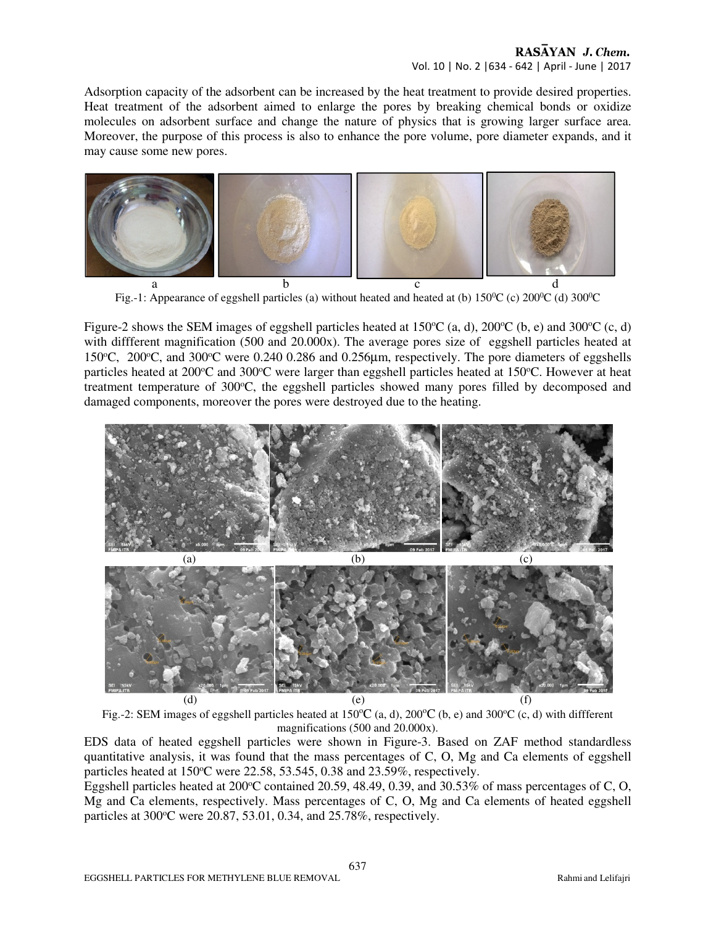Adsorption capacity of the adsorbent can be increased by the heat treatment to provide desired properties. Heat treatment of the adsorbent aimed to enlarge the pores by breaking chemical bonds or oxidize molecules on adsorbent surface and change the nature of physics that is growing larger surface area. Moreover, the purpose of this process is also to enhance the pore volume, pore diameter expands, and it may cause some new pores.



Fig.-1: Appearance of eggshell particles (a) without heated and heated at (b)  $150\degree$ C (c)  $200\degree$ C (d)  $300\degree$ C

Figure-2 shows the SEM images of eggshell particles heated at 150 $\degree$ C (a, d), 200 $\degree$ C (b, e) and 300 $\degree$ C (c, d) with diffferent magnification (500 and 20.000x). The average pores size of eggshell particles heated at 150 $^{\circ}$ C, 200 $^{\circ}$ C, and 300 $^{\circ}$ C were 0.240 0.286 and 0.256 $\mu$ m, respectively. The pore diameters of eggshells particles heated at  $200^{\circ}$ C and  $300^{\circ}$ C were larger than eggshell particles heated at  $150^{\circ}$ C. However at heat treatment temperature of 300 °C, the eggshell particles showed many pores filled by decomposed and damaged components, moreover the pores were destroyed due to the heating.





EDS data of heated eggshell particles were shown in Figure-3. Based on ZAF method standardless quantitative analysis, it was found that the mass percentages of C, O, Mg and Ca elements of eggshell particles heated at  $150^{\circ}$ C were  $22.58$ ,  $53.545$ ,  $0.38$  and  $23.59\%$ , respectively.

Eggshell particles heated at 200 °C contained 20.59, 48.49, 0.39, and 30.53% of mass percentages of C, O, Mg and Ca elements, respectively. Mass percentages of C, O, Mg and Ca elements of heated eggshell particles at  $300^{\circ}$ C were  $20.87, 53.01, 0.34,$  and  $25.78\%$ , respectively.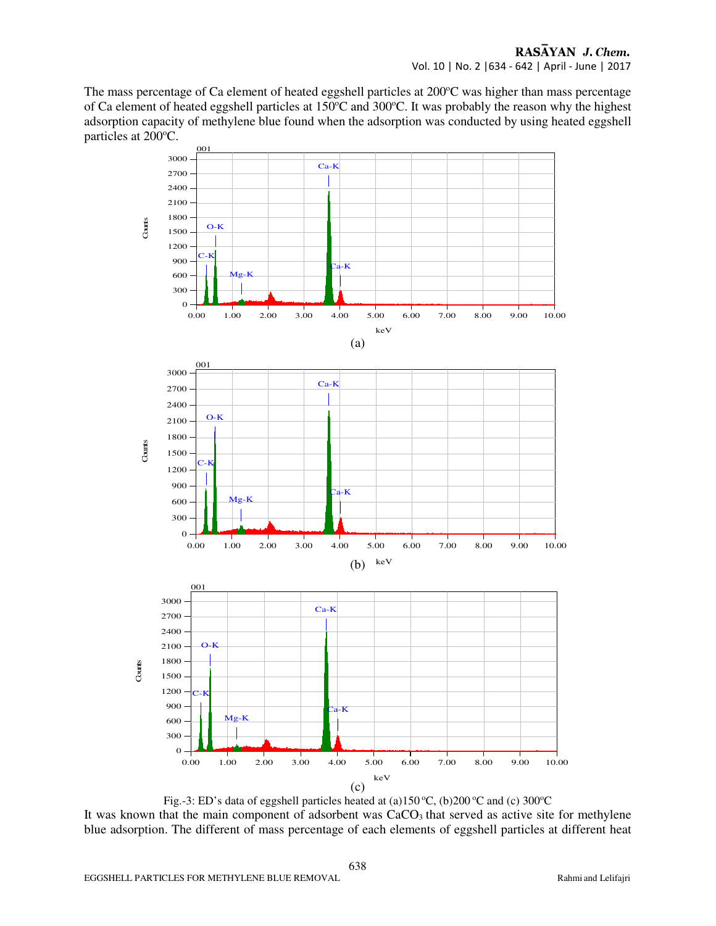The mass percentage of Ca element of heated eggshell particles at  $200^{\circ}$ C was higher than mass percentage of Ca element of heated eggshell particles at 150°C and 300°C. It was probably the reason why the highest adsorption capacity of methylene blue found when the adsorption was conducted by using heated eggshell particles at 200°C.



Fig.-3: ED's data of eggshell particles heated at (a)150 °C, (b)200 °C and (c) 300 °C It was known that the main component of adsorbent was CaCO<sub>3</sub> that served as active site for methylene blue adsorption. The different of mass percentage of each elements of eggshell particles at different heat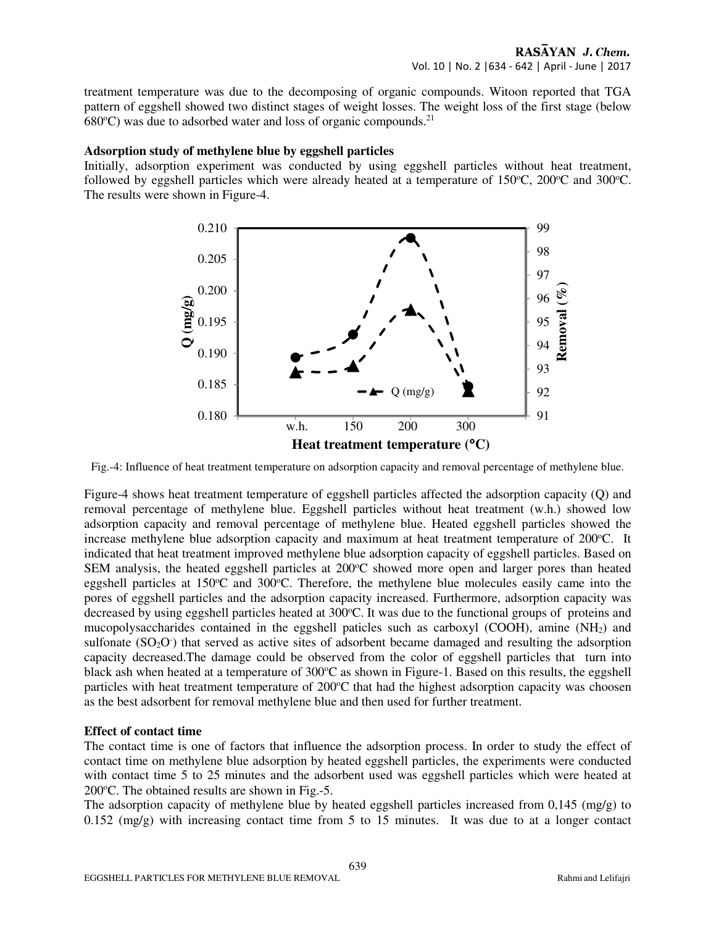treatment temperature was due to the decomposing of organic compounds. Witoon reported that TGA pattern of eggshell showed two distinct stages of weight losses. The weight loss of the first stage (below  $680^{\circ}$ C) was due to adsorbed water and loss of organic compounds.<sup>21</sup>

#### **Adsorption study of methylene blue by eggshell particles**

Initially, adsorption experiment was conducted by using eggshell particles without heat treatment, followed by eggshell particles which were already heated at a temperature of  $150^{\circ}$ C,  $200^{\circ}$ C and  $300^{\circ}$ C. The results were shown in Figure-4.



Fig.-4: Influence of heat treatment temperature on adsorption capacity and removal percentage of methylene blue.

Figure-4 shows heat treatment temperature of eggshell particles affected the adsorption capacity (Q) and removal percentage of methylene blue. Eggshell particles without heat treatment (w.h.) showed low adsorption capacity and removal percentage of methylene blue. Heated eggshell particles showed the increase methylene blue adsorption capacity and maximum at heat treatment temperature of  $200^{\circ}$ C. It indicated that heat treatment improved methylene blue adsorption capacity of eggshell particles. Based on SEM analysis, the heated eggshell particles at  $200^{\circ}$ C showed more open and larger pores than heated eggshell particles at  $150^{\circ}$ C and  $300^{\circ}$ C. Therefore, the methylene blue molecules easily came into the pores of eggshell particles and the adsorption capacity increased. Furthermore, adsorption capacity was decreased by using eggshell particles heated at 300°C. It was due to the functional groups of proteins and mucopolysaccharides contained in the eggshell paticles such as carboxyl (COOH), amine  $(NH<sub>2</sub>)$  and sulfonate (SO<sub>2</sub>O<sup>-</sup>) that served as active sites of adsorbent became damaged and resulting the adsorption capacity decreased.The damage could be observed from the color of eggshell particles that turn into black ash when heated at a temperature of  $300^{\circ}$ C as shown in Figure-1. Based on this results, the eggshell particles with heat treatment temperature of  $200^{\circ}$ C that had the highest adsorption capacity was choosen as the best adsorbent for removal methylene blue and then used for further treatment.

#### **Effect of contact time**

The contact time is one of factors that influence the adsorption process. In order to study the effect of contact time on methylene blue adsorption by heated eggshell particles, the experiments were conducted with contact time 5 to 25 minutes and the adsorbent used was eggshell particles which were heated at 200 $^{\circ}$ C. The obtained results are shown in Fig.-5.

The adsorption capacity of methylene blue by heated eggshell particles increased from 0,145 (mg/g) to  $0.152 \text{ (mg/g)}$  with increasing contact time from 5 to 15 minutes. It was due to at a longer contact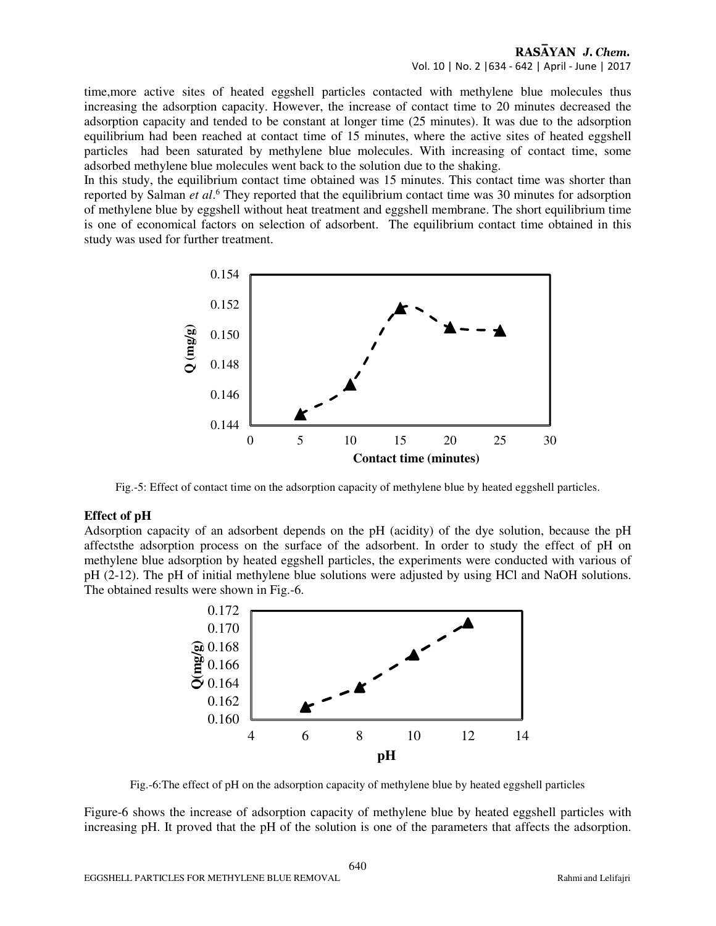time,more active sites of heated eggshell particles contacted with methylene blue molecules thus increasing the adsorption capacity. However, the increase of contact time to 20 minutes decreased the adsorption capacity and tended to be constant at longer time (25 minutes). It was due to the adsorption equilibrium had been reached at contact time of 15 minutes, where the active sites of heated eggshell particles had been saturated by methylene blue molecules. With increasing of contact time, some adsorbed methylene blue molecules went back to the solution due to the shaking.

In this study, the equilibrium contact time obtained was 15 minutes. This contact time was shorter than reported by Salman *et al.*<sup>6</sup> They reported that the equilibrium contact time was 30 minutes for adsorption of methylene blue by eggshell without heat treatment and eggshell membrane. The short equilibrium time is one of economical factors on selection of adsorbent. The equilibrium contact time obtained in this study was used for further treatment.



Fig.-5: Effect of contact time on the adsorption capacity of methylene blue by heated eggshell particles.

#### **Effect of pH**

Adsorption capacity of an adsorbent depends on the pH (acidity) of the dye solution, because the pH affectsthe adsorption process on the surface of the adsorbent. In order to study the effect of pH on methylene blue adsorption by heated eggshell particles, the experiments were conducted with various of pH (2-12). The pH of initial methylene blue solutions were adjusted by using HCl and NaOH solutions. The obtained results were shown in Fig.-6.



Fig.-6:The effect of pH on the adsorption capacity of methylene blue by heated eggshell particles

Figure-6 shows the increase of adsorption capacity of methylene blue by heated eggshell particles with increasing pH. It proved that the pH of the solution is one of the parameters that affects the adsorption.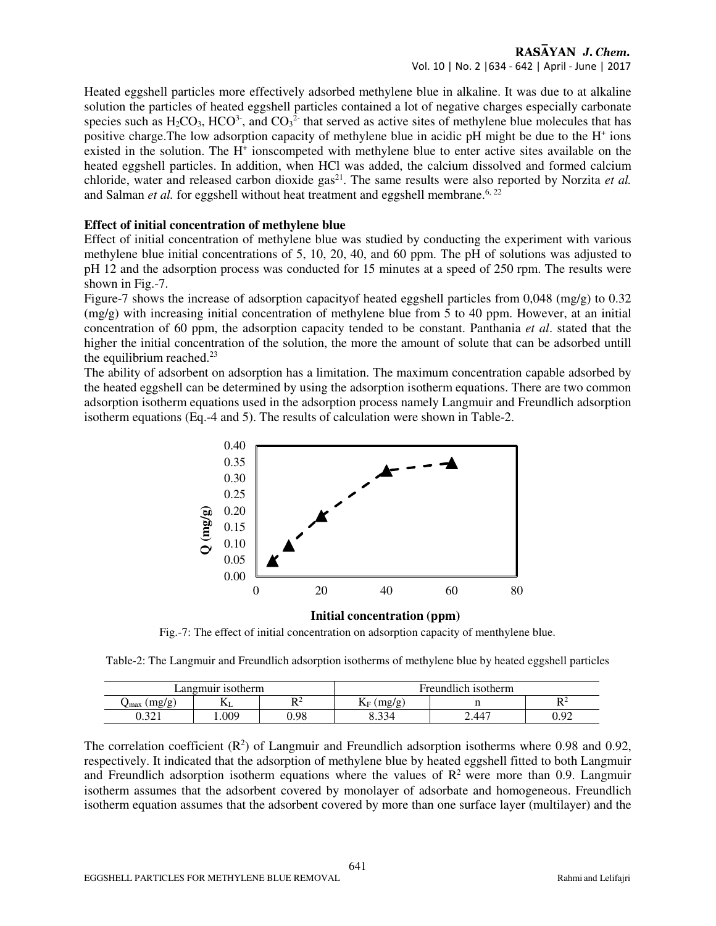## RASAYAN J. Chem. Vol. 10 | No. 2 |634 - 642 | April - June | 2017

Heated eggshell particles more effectively adsorbed methylene blue in alkaline. It was due to at alkaline solution the particles of heated eggshell particles contained a lot of negative charges especially carbonate species such as  $H_2CO_3$ , HCO<sup>3-</sup>, and CO<sub>3</sub><sup>2-</sup> that served as active sites of methylene blue molecules that has positive charge. The low adsorption capacity of methylene blue in acidic pH might be due to the H<sup>+</sup> ions existed in the solution. The H<sup>+</sup> ionscompeted with methylene blue to enter active sites available on the heated eggshell particles. In addition, when HCl was added, the calcium dissolved and formed calcium chloride, water and released carbon dioxide  $gas^{21}$ . The same results were also reported by Norzita *et al.* and Salman *et al.* for eggshell without heat treatment and eggshell membrane.<sup>6, 22</sup>

#### **Effect of initial concentration of methylene blue**

Effect of initial concentration of methylene blue was studied by conducting the experiment with various methylene blue initial concentrations of 5, 10, 20, 40, and 60 ppm. The pH of solutions was adjusted to pH 12 and the adsorption process was conducted for 15 minutes at a speed of 250 rpm. The results were shown in Fig.-7.

Figure-7 shows the increase of adsorption capacityof heated eggshell particles from 0,048 (mg/g) to 0.32  $(mg/g)$  with increasing initial concentration of methylene blue from 5 to 40 ppm. However, at an initial concentration of 60 ppm, the adsorption capacity tended to be constant. Panthania *et al*. stated that the higher the initial concentration of the solution, the more the amount of solute that can be adsorbed untill the equilibrium reached. $23$ 

The ability of adsorbent on adsorption has a limitation. The maximum concentration capable adsorbed by the heated eggshell can be determined by using the adsorption isotherm equations. There are two common adsorption isotherm equations used in the adsorption process namely Langmuir and Freundlich adsorption isotherm equations (Eq.-4 and 5). The results of calculation were shown in Table-2.



**Initial concentration (ppm)** 

Fig.-7: The effect of initial concentration on adsorption capacity of menthylene blue.

Table-2: The Langmuir and Freundlich adsorption isotherms of methylene blue by heated eggshell particles

| angmuir isotherm                                  |      | <b>Freundlich isotherm</b> |                         |       |         |
|---------------------------------------------------|------|----------------------------|-------------------------|-------|---------|
| $m\mathfrak{g}/\mathfrak{g}$<br>$\mathcal{J}$ max | LГ   | .                          | $m\sigma/\sigma$<br>1XI |       | DΖ<br>v |
| 22<br>U.J∠ 1                                      | .009 | 0.98                       | nn.                     | 2.447 | 0.92    |

The correlation coefficient  $(R^2)$  of Langmuir and Freundlich adsorption isotherms where 0.98 and 0.92, respectively. It indicated that the adsorption of methylene blue by heated eggshell fitted to both Langmuir and Freundlich adsorption isotherm equations where the values of  $\mathbb{R}^2$  were more than 0.9. Langmuir isotherm assumes that the adsorbent covered by monolayer of adsorbate and homogeneous. Freundlich isotherm equation assumes that the adsorbent covered by more than one surface layer (multilayer) and the